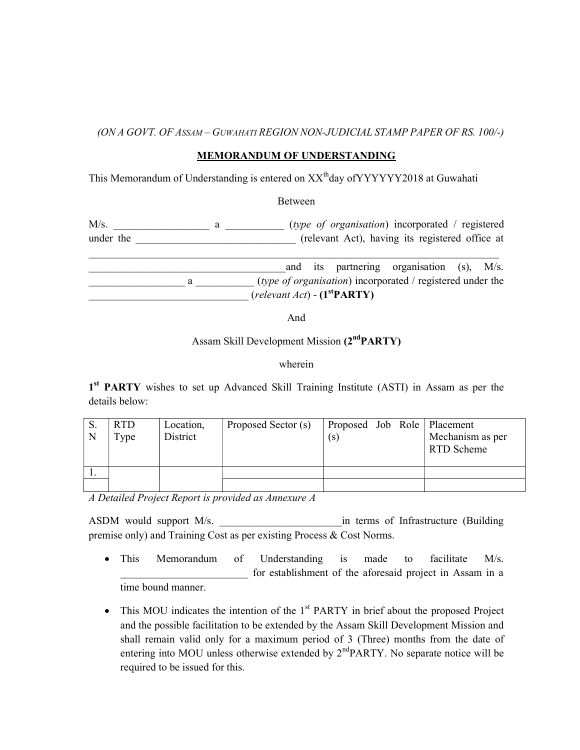## (ON A GOVT. OF ASSAM – GUWAHATI REGION NON-JUDICIAL STAMP PAPER OF RS. 100/-)

## MEMORANDUM OF UNDERSTANDING

This Memorandum of Understanding is entered on XX<sup>th</sup>day of YYYYYY2018 at Guwahati

Between

M/s.  $\frac{1}{\sqrt{2\pi}}$  a  $\frac{1}{\sqrt{2\pi}}$  (type of organisation) incorporated / registered under the the the the transfer of the transfer of the transfer of the transfer of the transfer of the transfer of the transfer of the transfer of the transfer of the transfer of the transfer of the transfer of the transfer  $\mathcal{L}_\mathcal{L} = \{ \mathcal{L}_\mathcal{L} = \{ \mathcal{L}_\mathcal{L} = \{ \mathcal{L}_\mathcal{L} = \{ \mathcal{L}_\mathcal{L} = \{ \mathcal{L}_\mathcal{L} = \{ \mathcal{L}_\mathcal{L} = \{ \mathcal{L}_\mathcal{L} = \{ \mathcal{L}_\mathcal{L} = \{ \mathcal{L}_\mathcal{L} = \{ \mathcal{L}_\mathcal{L} = \{ \mathcal{L}_\mathcal{L} = \{ \mathcal{L}_\mathcal{L} = \{ \mathcal{L}_\mathcal{L} = \{ \mathcal{L}_\mathcal{$ 

and its partnering organisation (s),  $M/s$ . a (*type of organisation*) incorporated / registered under the  $(relevant Act) - (1^{st}PARTY)$ 

And

## Assam Skill Development Mission (2<sup>nd</sup>PARTY)

wherein

1<sup>st</sup> PARTY wishes to set up Advanced Skill Training Institute (ASTI) in Assam as per the details below:

| D.<br>N | R <sub>T</sub> D<br>Type | Location,<br>District | Proposed Sector (s) | (s) |  | Proposed Job Role   Placement<br>Mechanism as per<br>RTD Scheme |
|---------|--------------------------|-----------------------|---------------------|-----|--|-----------------------------------------------------------------|
|         |                          |                       |                     |     |  |                                                                 |
|         |                          |                       |                     |     |  |                                                                 |

A Detailed Project Report is provided as Annexure A

ASDM would support M/s.  $\qquad \qquad$  in terms of Infrastructure (Building premise only) and Training Cost as per existing Process & Cost Norms.

- This Memorandum of Understanding is made to facilitate M/s. for establishment of the aforesaid project in Assam in a time bound manner.
- $\bullet$  This MOU indicates the intention of the  $1<sup>st</sup>$  PARTY in brief about the proposed Project and the possible facilitation to be extended by the Assam Skill Development Mission and shall remain valid only for a maximum period of 3 (Three) months from the date of entering into MOU unless otherwise extended by  $2<sup>nd</sup>PARTY$ . No separate notice will be required to be issued for this.